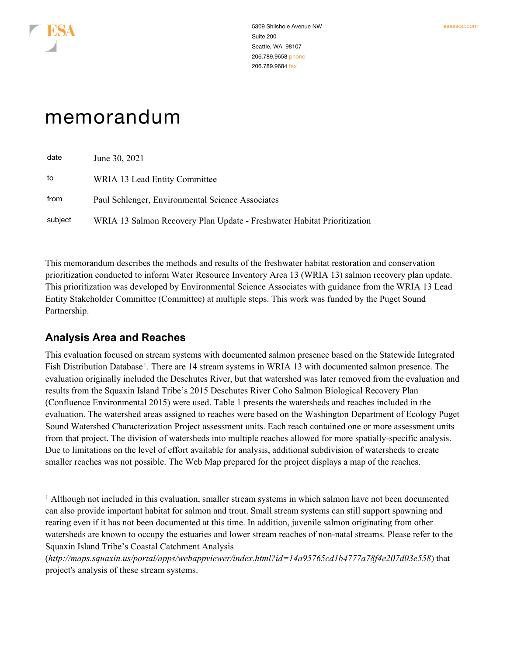

# memorandum

| date    | June 30, 2021                                                           |
|---------|-------------------------------------------------------------------------|
| to      | WRIA 13 Lead Entity Committee                                           |
| from    | Paul Schlenger, Environmental Science Associates                        |
| subject | WRIA 13 Salmon Recovery Plan Update - Freshwater Habitat Prioritization |

This memorandum describes the methods and results of the freshwater habitat restoration and conservation prioritization conducted to inform Water Resource Inventory Area 13 (WRIA 13) salmon recovery plan update. This prioritization was developed by Environmental Science Associates with guidance from the WRIA 13 Lead Entity Stakeholder Committee (Committee) at multiple steps. This work was funded by the Puget Sound Partnership.

## **Analysis Area and Reaches**

This evaluation focused on stream systems with documented salmon presence based on the Statewide Integrated Fish Distribution Database<sup>[1](#page-0-0)</sup>. There are 14 stream systems in WRIA 13 with documented salmon presence. The evaluation originally included the Deschutes River, but that watershed was later removed from the evaluation and results from the Squaxin Island Tribe's 2015 Deschutes River Coho Salmon Biological Recovery Plan (Confluence Environmental 2015) were used. Table 1 presents the watersheds and reaches included in the evaluation. The watershed areas assigned to reaches were based on the Washington Department of Ecology Puget Sound Watershed Characterization Project assessment units. Each reach contained one or more assessment units from that project. The division of watersheds into multiple reaches allowed for more spatially-specific analysis. Due to limitations on the level of effort available for analysis, additional subdivision of watersheds to create smaller reaches was not possible. The Web Map prepared for the project displays a map of the reaches.

<span id="page-0-0"></span><sup>&</sup>lt;sup>1</sup> Although not included in this evaluation, smaller stream systems in which salmon have not been documented can also provide important habitat for salmon and trout. Small stream systems can still support spawning and rearing even if it has not been documented at this time. In addition, juvenile salmon originating from other watersheds are known to occupy the estuaries and lower stream reaches of non-natal streams. Please refer to the Squaxin Island Tribe's Coastal Catchment Analysis

<sup>(</sup>*<http://maps.squaxin.us/portal/apps/webappviewer/index.html?id=14a95765cd1b4777a78f4e207d03e558>*) that project's analysis of these stream systems.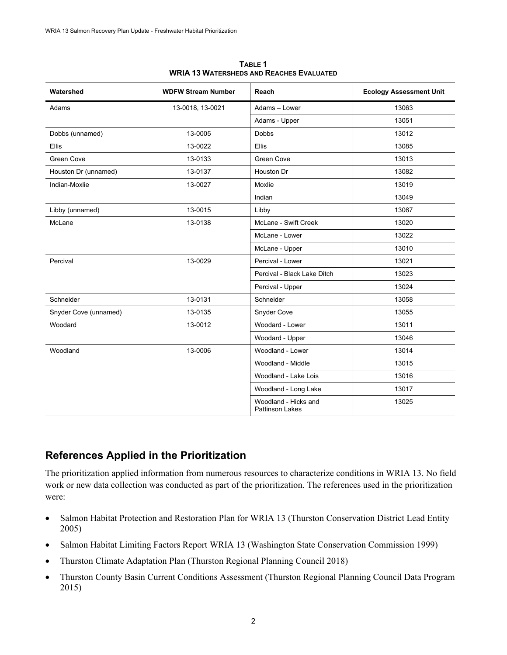| Watershed             | <b>WDFW Stream Number</b> | Reach                                          | <b>Ecology Assessment Unit</b> |
|-----------------------|---------------------------|------------------------------------------------|--------------------------------|
| Adams                 | 13-0018, 13-0021          | Adams - Lower                                  | 13063                          |
|                       |                           | Adams - Upper                                  | 13051                          |
| Dobbs (unnamed)       | 13-0005                   | <b>Dobbs</b>                                   | 13012                          |
| <b>Ellis</b>          | 13-0022                   | <b>Ellis</b>                                   | 13085                          |
| <b>Green Cove</b>     | 13-0133                   | <b>Green Cove</b>                              | 13013                          |
| Houston Dr (unnamed)  | 13-0137                   | Houston Dr                                     | 13082                          |
| Indian-Moxlie         | 13-0027                   | Moxlie                                         | 13019                          |
|                       |                           | Indian                                         | 13049                          |
| Libby (unnamed)       | 13-0015                   | Libby                                          | 13067                          |
| McLane                | 13-0138                   | McLane - Swift Creek                           | 13020                          |
|                       |                           | McLane - Lower                                 | 13022                          |
|                       |                           | McLane - Upper                                 | 13010                          |
| Percival              | 13-0029                   | Percival - Lower                               | 13021                          |
|                       |                           | Percival - Black Lake Ditch                    | 13023                          |
|                       |                           | Percival - Upper                               | 13024                          |
| Schneider             | 13-0131                   | Schneider                                      | 13058                          |
| Snyder Cove (unnamed) | 13-0135                   | Snyder Cove                                    | 13055                          |
| Woodard               | 13-0012                   | Woodard - Lower                                | 13011                          |
|                       |                           | Woodard - Upper                                | 13046                          |
| Woodland              | 13-0006                   | Woodland - Lower                               | 13014                          |
|                       |                           | Woodland - Middle                              | 13015                          |
|                       |                           | Woodland - Lake Lois                           | 13016                          |
|                       |                           | Woodland - Long Lake                           | 13017                          |
|                       |                           | Woodland - Hicks and<br><b>Pattinson Lakes</b> | 13025                          |

**TABLE 1 WRIA 13 WATERSHEDS AND REACHES EVALUATED**

# **References Applied in the Prioritization**

The prioritization applied information from numerous resources to characterize conditions in WRIA 13. No field work or new data collection was conducted as part of the prioritization. The references used in the prioritization were:

- Salmon Habitat Protection and Restoration Plan for WRIA 13 (Thurston Conservation District Lead Entity 2005)
- Salmon Habitat Limiting Factors Report WRIA 13 (Washington State Conservation Commission 1999)
- Thurston Climate Adaptation Plan (Thurston Regional Planning Council 2018)
- Thurston County Basin Current Conditions Assessment (Thurston Regional Planning Council Data Program 2015)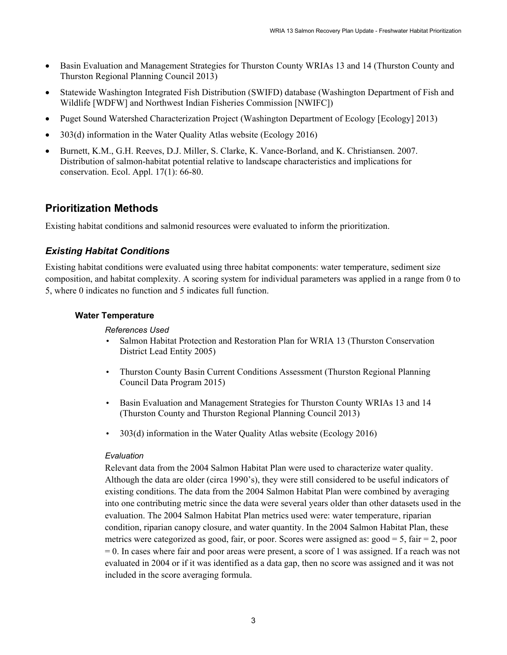- Basin Evaluation and Management Strategies for Thurston County WRIAs 13 and 14 (Thurston County and Thurston Regional Planning Council 2013)
- Statewide Washington Integrated Fish Distribution (SWIFD) database (Washington Department of Fish and Wildlife [WDFW] and Northwest Indian Fisheries Commission [NWIFC])
- Puget Sound Watershed Characterization Project (Washington Department of Ecology [Ecology] 2013)
- 303(d) information in the Water Quality Atlas website (Ecology 2016)
- Burnett, K.M., G.H. Reeves, D.J. Miller, S. Clarke, K. Vance-Borland, and K. Christiansen. 2007. Distribution of salmon-habitat potential relative to landscape characteristics and implications for conservation. Ecol. Appl. 17(1): 66-80.

# **Prioritization Methods**

Existing habitat conditions and salmonid resources were evaluated to inform the prioritization.

### *Existing Habitat Conditions*

Existing habitat conditions were evaluated using three habitat components: water temperature, sediment size composition, and habitat complexity. A scoring system for individual parameters was applied in a range from 0 to 5, where 0 indicates no function and 5 indicates full function.

#### **Water Temperature**

*References Used*

- Salmon Habitat Protection and Restoration Plan for WRIA 13 (Thurston Conservation District Lead Entity 2005)
- Thurston County Basin Current Conditions Assessment (Thurston Regional Planning Council Data Program 2015)
- Basin Evaluation and Management Strategies for Thurston County WRIAs 13 and 14 (Thurston County and Thurston Regional Planning Council 2013)
- 303(d) information in the Water Quality Atlas website (Ecology 2016)

#### *Evaluation*

Relevant data from the 2004 Salmon Habitat Plan were used to characterize water quality. Although the data are older (circa 1990's), they were still considered to be useful indicators of existing conditions. The data from the 2004 Salmon Habitat Plan were combined by averaging into one contributing metric since the data were several years older than other datasets used in the evaluation. The 2004 Salmon Habitat Plan metrics used were: water temperature, riparian condition, riparian canopy closure, and water quantity. In the 2004 Salmon Habitat Plan, these metrics were categorized as good, fair, or poor. Scores were assigned as:  $\text{good} = 5$ ,  $\text{fair} = 2$ , poor  $= 0$ . In cases where fair and poor areas were present, a score of 1 was assigned. If a reach was not evaluated in 2004 or if it was identified as a data gap, then no score was assigned and it was not included in the score averaging formula.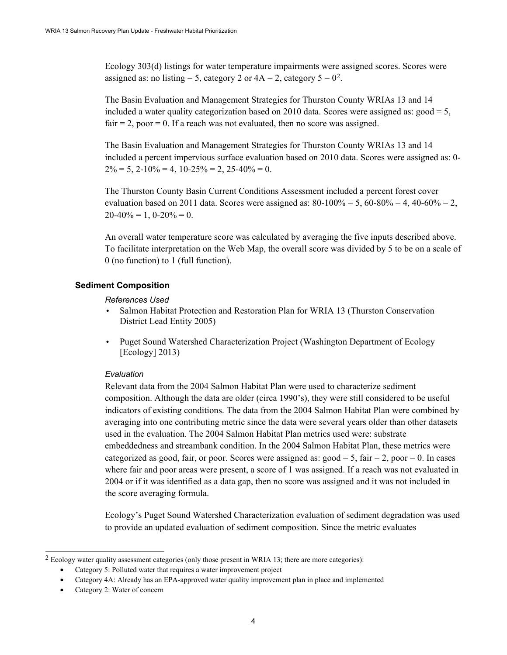Ecology 303(d) listings for water temperature impairments were assigned scores. Scores were assigned as: no listing = 5, category [2](#page-3-0) or  $4A = 2$ , category  $5 = 0^2$ .

The Basin Evaluation and Management Strategies for Thurston County WRIAs 13 and 14 included a water quality categorization based on 2010 data. Scores were assigned as:  $\text{good} = 5$ ,  $fair = 2$ , poor  $= 0$ . If a reach was not evaluated, then no score was assigned.

The Basin Evaluation and Management Strategies for Thurston County WRIAs 13 and 14 included a percent impervious surface evaluation based on 2010 data. Scores were assigned as: 0-  $2\% = 5$ ,  $2 - 10\% = 4$ ,  $10 - 25\% = 2$ ,  $25 - 40\% = 0$ .

The Thurston County Basin Current Conditions Assessment included a percent forest cover evaluation based on 2011 data. Scores were assigned as:  $80-100% = 5$ ,  $60-80% = 4$ ,  $40-60% = 2$ ,  $20-40\% = 1, 0-20\% = 0.$ 

An overall water temperature score was calculated by averaging the five inputs described above. To facilitate interpretation on the Web Map, the overall score was divided by 5 to be on a scale of 0 (no function) to 1 (full function).

#### **Sediment Composition**

#### *References Used*

- Salmon Habitat Protection and Restoration Plan for WRIA 13 (Thurston Conservation District Lead Entity 2005)
- Puget Sound Watershed Characterization Project (Washington Department of Ecology [Ecology] 2013)

#### *Evaluation*

Relevant data from the 2004 Salmon Habitat Plan were used to characterize sediment composition. Although the data are older (circa 1990's), they were still considered to be useful indicators of existing conditions. The data from the 2004 Salmon Habitat Plan were combined by averaging into one contributing metric since the data were several years older than other datasets used in the evaluation. The 2004 Salmon Habitat Plan metrics used were: substrate embeddedness and streambank condition. In the 2004 Salmon Habitat Plan, these metrics were categorized as good, fair, or poor. Scores were assigned as:  $\text{good} = 5$ , fair  $= 2$ , poor  $= 0$ . In cases where fair and poor areas were present, a score of 1 was assigned. If a reach was not evaluated in 2004 or if it was identified as a data gap, then no score was assigned and it was not included in the score averaging formula.

Ecology's Puget Sound Watershed Characterization evaluation of sediment degradation was used to provide an updated evaluation of sediment composition. Since the metric evaluates

<span id="page-3-0"></span><sup>&</sup>lt;sup>2</sup> Ecology water quality assessment categories (only those present in WRIA 13; there are more categories):

<sup>•</sup> Category 5: Polluted water that requires a water improvement project

<sup>•</sup> Category 4A: Already has an EPA-approved water quality improvement plan in place and implemented

<sup>•</sup> Category 2: Water of concern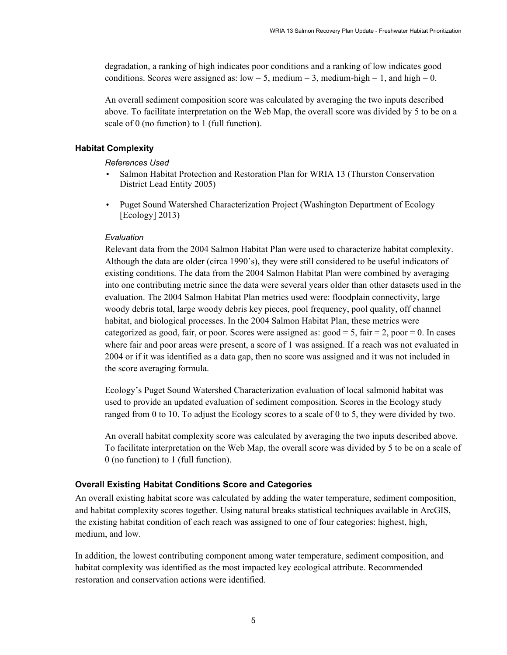degradation, a ranking of high indicates poor conditions and a ranking of low indicates good conditions. Scores were assigned as:  $low = 5$ , medium = 3, medium-high = 1, and high = 0.

An overall sediment composition score was calculated by averaging the two inputs described above. To facilitate interpretation on the Web Map, the overall score was divided by 5 to be on a scale of 0 (no function) to 1 (full function).

#### **Habitat Complexity**

*References Used*

- Salmon Habitat Protection and Restoration Plan for WRIA 13 (Thurston Conservation District Lead Entity 2005)
- Puget Sound Watershed Characterization Project (Washington Department of Ecology [Ecology] 2013)

#### *Evaluation*

Relevant data from the 2004 Salmon Habitat Plan were used to characterize habitat complexity. Although the data are older (circa 1990's), they were still considered to be useful indicators of existing conditions. The data from the 2004 Salmon Habitat Plan were combined by averaging into one contributing metric since the data were several years older than other datasets used in the evaluation. The 2004 Salmon Habitat Plan metrics used were: floodplain connectivity, large woody debris total, large woody debris key pieces, pool frequency, pool quality, off channel habitat, and biological processes. In the 2004 Salmon Habitat Plan, these metrics were categorized as good, fair, or poor. Scores were assigned as:  $\text{good} = 5$ , fair  $= 2$ , poor  $= 0$ . In cases where fair and poor areas were present, a score of 1 was assigned. If a reach was not evaluated in 2004 or if it was identified as a data gap, then no score was assigned and it was not included in the score averaging formula.

Ecology's Puget Sound Watershed Characterization evaluation of local salmonid habitat was used to provide an updated evaluation of sediment composition. Scores in the Ecology study ranged from 0 to 10. To adjust the Ecology scores to a scale of 0 to 5, they were divided by two.

An overall habitat complexity score was calculated by averaging the two inputs described above. To facilitate interpretation on the Web Map, the overall score was divided by 5 to be on a scale of 0 (no function) to 1 (full function).

#### **Overall Existing Habitat Conditions Score and Categories**

An overall existing habitat score was calculated by adding the water temperature, sediment composition, and habitat complexity scores together. Using natural breaks statistical techniques available in ArcGIS, the existing habitat condition of each reach was assigned to one of four categories: highest, high, medium, and low.

In addition, the lowest contributing component among water temperature, sediment composition, and habitat complexity was identified as the most impacted key ecological attribute. Recommended restoration and conservation actions were identified.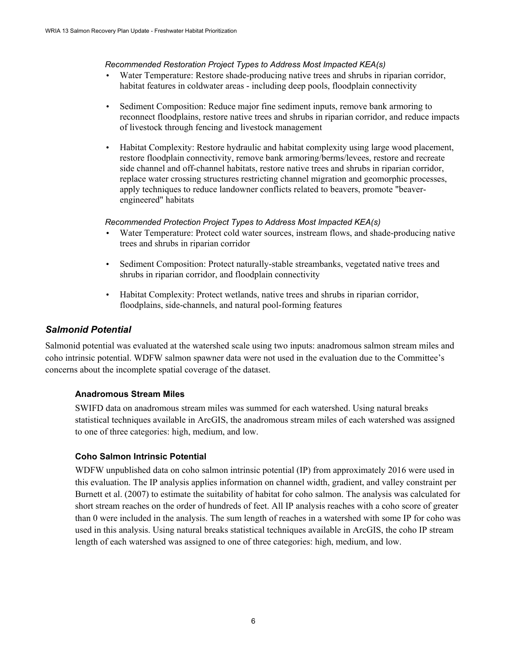#### *Recommended Restoration Project Types to Address Most Impacted KEA(s)*

- Water Temperature: Restore shade-producing native trees and shrubs in riparian corridor, habitat features in coldwater areas - including deep pools, floodplain connectivity
- Sediment Composition: Reduce major fine sediment inputs, remove bank armoring to reconnect floodplains, restore native trees and shrubs in riparian corridor, and reduce impacts of livestock through fencing and livestock management
- Habitat Complexity: Restore hydraulic and habitat complexity using large wood placement, restore floodplain connectivity, remove bank armoring/berms/levees, restore and recreate side channel and off-channel habitats, restore native trees and shrubs in riparian corridor, replace water crossing structures restricting channel migration and geomorphic processes, apply techniques to reduce landowner conflicts related to beavers, promote "beaverengineered" habitats

#### *Recommended Protection Project Types to Address Most Impacted KEA(s)*

- Water Temperature: Protect cold water sources, instream flows, and shade-producing native trees and shrubs in riparian corridor
- Sediment Composition: Protect naturally-stable streambanks, vegetated native trees and shrubs in riparian corridor, and floodplain connectivity
- Habitat Complexity: Protect wetlands, native trees and shrubs in riparian corridor, floodplains, side-channels, and natural pool-forming features

#### *Salmonid Potential*

Salmonid potential was evaluated at the watershed scale using two inputs: anadromous salmon stream miles and coho intrinsic potential. WDFW salmon spawner data were not used in the evaluation due to the Committee's concerns about the incomplete spatial coverage of the dataset.

#### **Anadromous Stream Miles**

SWIFD data on anadromous stream miles was summed for each watershed. Using natural breaks statistical techniques available in ArcGIS, the anadromous stream miles of each watershed was assigned to one of three categories: high, medium, and low.

#### **Coho Salmon Intrinsic Potential**

WDFW unpublished data on coho salmon intrinsic potential (IP) from approximately 2016 were used in this evaluation. The IP analysis applies information on channel width, gradient, and valley constraint per Burnett et al. (2007) to estimate the suitability of habitat for coho salmon. The analysis was calculated for short stream reaches on the order of hundreds of feet. All IP analysis reaches with a coho score of greater than 0 were included in the analysis. The sum length of reaches in a watershed with some IP for coho was used in this analysis. Using natural breaks statistical techniques available in ArcGIS, the coho IP stream length of each watershed was assigned to one of three categories: high, medium, and low.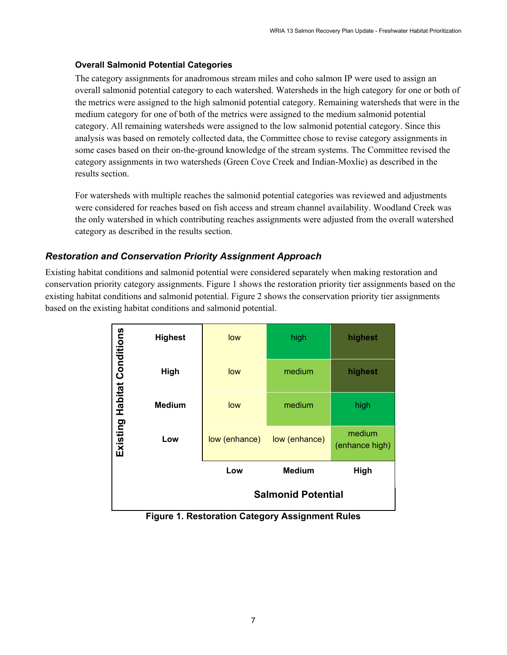#### **Overall Salmonid Potential Categories**

The category assignments for anadromous stream miles and coho salmon IP were used to assign an overall salmonid potential category to each watershed. Watersheds in the high category for one or both of the metrics were assigned to the high salmonid potential category. Remaining watersheds that were in the medium category for one of both of the metrics were assigned to the medium salmonid potential category. All remaining watersheds were assigned to the low salmonid potential category. Since this analysis was based on remotely collected data, the Committee chose to revise category assignments in some cases based on their on-the-ground knowledge of the stream systems. The Committee revised the category assignments in two watersheds (Green Cove Creek and Indian-Moxlie) as described in the results section.

For watersheds with multiple reaches the salmonid potential categories was reviewed and adjustments were considered for reaches based on fish access and stream channel availability. Woodland Creek was the only watershed in which contributing reaches assignments were adjusted from the overall watershed category as described in the results section.

#### *Restoration and Conservation Priority Assignment Approach*

Existing habitat conditions and salmonid potential were considered separately when making restoration and conservation priority category assignments. Figure 1 shows the restoration priority tier assignments based on the existing habitat conditions and salmonid potential. Figure 2 shows the conservation priority tier assignments based on the existing habitat conditions and salmonid potential.

|                             |                |               | <b>Salmonid Potential</b> |                          |
|-----------------------------|----------------|---------------|---------------------------|--------------------------|
|                             |                | Low           | <b>Medium</b>             | High                     |
|                             | Low            | low (enhance) | low (enhance)             | medium<br>(enhance high) |
| Existing Habitat Conditions | <b>Medium</b>  | low           | medium                    | high                     |
|                             | High           | low           | medium                    | highest                  |
|                             | <b>Highest</b> | low           | high                      | highest                  |

**Figure 1. Restoration Category Assignment Rules**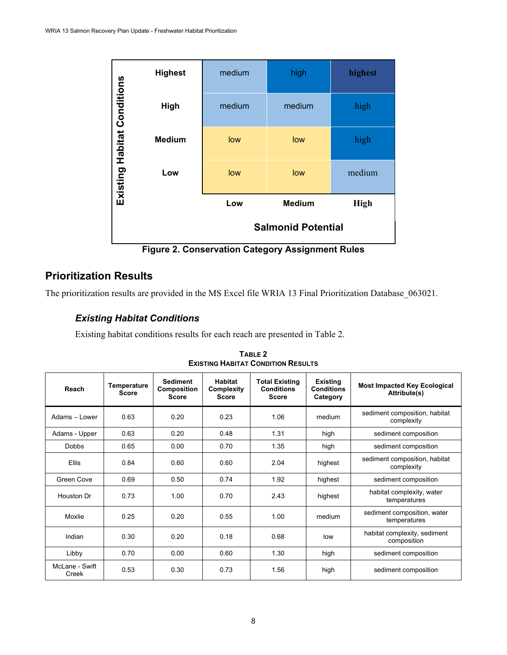| Existing Habitat Conditions | <b>Highest</b> | medium | high                      | highest |
|-----------------------------|----------------|--------|---------------------------|---------|
|                             | High           | medium | medium                    | high    |
|                             | <b>Medium</b>  | low    | low                       | high    |
|                             | Low            | low    | low                       | medium  |
|                             |                | Low    | <b>High</b>               |         |
|                             |                |        | <b>Salmonid Potential</b> |         |

**Figure 2. Conservation Category Assignment Rules**

# **Prioritization Results**

The prioritization results are provided in the MS Excel file WRIA 13 Final Prioritization Database\_063021.

## *Existing Habitat Conditions*

Existing habitat conditions results for each reach are presented in Table 2.

| Reach                   | Temperature<br><b>Score</b> | <b>Sediment</b><br><b>Composition</b><br><b>Score</b> | Habitat<br>Complexity<br><b>Score</b> | <b>Total Existing</b><br><b>Conditions</b><br><b>Score</b> | Existing<br>Conditions<br>Category | <b>Most Impacted Key Ecological</b><br>Attribute(s) |
|-------------------------|-----------------------------|-------------------------------------------------------|---------------------------------------|------------------------------------------------------------|------------------------------------|-----------------------------------------------------|
| Adams - Lower           | 0.63                        | 0.20                                                  | 0.23                                  | 1.06                                                       | medium                             | sediment composition, habitat<br>complexity         |
| Adams - Upper           | 0.63                        | 0.20                                                  | 0.48                                  | 1.31                                                       | high                               | sediment composition                                |
| Dobbs                   | 0.65                        | 0.00                                                  | 0.70                                  | 1.35                                                       | high                               | sediment composition                                |
| <b>Ellis</b>            | 0.84                        | 0.60                                                  | 0.60                                  | 2.04                                                       | highest                            | sediment composition, habitat<br>complexity         |
| Green Cove              | 0.69                        | 0.50                                                  | 0.74                                  | 1.92                                                       | highest                            | sediment composition                                |
| Houston Dr              | 0.73                        | 1.00                                                  | 0.70                                  | 2.43                                                       | highest                            | habitat complexity, water<br>temperatures           |
| Moxlie                  | 0.25                        | 0.20                                                  | 0.55                                  | 1.00                                                       | medium                             | sediment composition, water<br>temperatures         |
| Indian                  | 0.30                        | 0.20                                                  | 0.18                                  | 0.68                                                       | low                                | habitat complexity, sediment<br>composition         |
| Libby                   | 0.70                        | 0.00                                                  | 0.60                                  | 1.30                                                       | high                               | sediment composition                                |
| McLane - Swift<br>Creek | 0.53                        | 0.30                                                  | 0.73                                  | 1.56                                                       | high                               | sediment composition                                |

**TABLE 2 EXISTING HABITAT CONDITION RESULTS**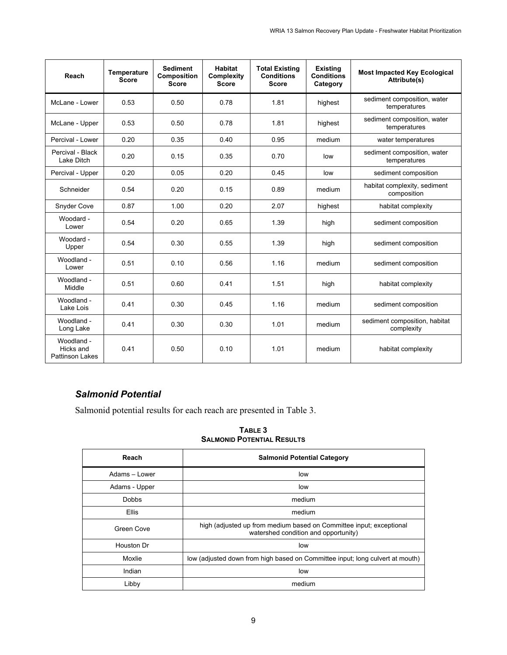| Reach                                             | Temperature<br><b>Score</b> | <b>Sediment</b><br>Composition<br><b>Score</b> | <b>Habitat</b><br>Complexity<br><b>Score</b> | <b>Total Existing</b><br><b>Conditions</b><br><b>Score</b> | <b>Existing</b><br><b>Conditions</b><br>Category | <b>Most Impacted Key Ecological</b><br>Attribute(s) |
|---------------------------------------------------|-----------------------------|------------------------------------------------|----------------------------------------------|------------------------------------------------------------|--------------------------------------------------|-----------------------------------------------------|
| McLane - Lower                                    | 0.53                        | 0.50                                           | 0.78                                         | 1.81                                                       | highest                                          | sediment composition, water<br>temperatures         |
| McLane - Upper                                    | 0.53                        | 0.50                                           | 0.78                                         | 1.81                                                       | highest                                          | sediment composition, water<br>temperatures         |
| Percival - Lower                                  | 0.20                        | 0.35                                           | 0.40                                         | 0.95                                                       | medium                                           | water temperatures                                  |
| Percival - Black<br>Lake Ditch                    | 0.20                        | 0.15                                           | 0.35                                         | 0.70                                                       | low                                              | sediment composition, water<br>temperatures         |
| Percival - Upper                                  | 0.20                        | 0.05                                           | 0.20                                         | 0.45                                                       | low                                              | sediment composition                                |
| Schneider                                         | 0.54                        | 0.20                                           | 0.15                                         | 0.89                                                       | medium                                           | habitat complexity, sediment<br>composition         |
| <b>Snyder Cove</b>                                | 0.87                        | 1.00                                           | 0.20                                         | 2.07                                                       | highest                                          | habitat complexity                                  |
| Woodard -<br>Lower                                | 0.54                        | 0.20                                           | 0.65                                         | 1.39                                                       | high                                             | sediment composition                                |
| Woodard -<br>Upper                                | 0.54                        | 0.30                                           | 0.55                                         | 1.39                                                       | high                                             | sediment composition                                |
| Woodland -<br>Lower                               | 0.51                        | 0.10                                           | 0.56                                         | 1.16                                                       | medium                                           | sediment composition                                |
| Woodland -<br>Middle                              | 0.51                        | 0.60                                           | 0.41                                         | 1.51                                                       | high                                             | habitat complexity                                  |
| Woodland -<br>Lake Lois                           | 0.41                        | 0.30                                           | 0.45                                         | 1.16                                                       | medium                                           | sediment composition                                |
| Woodland -<br>Long Lake                           | 0.41                        | 0.30                                           | 0.30                                         | 1.01                                                       | medium                                           | sediment composition, habitat<br>complexity         |
| Woodland -<br>Hicks and<br><b>Pattinson Lakes</b> | 0.41                        | 0.50                                           | 0.10                                         | 1.01                                                       | medium                                           | habitat complexity                                  |

## *Salmonid Potential*

Salmonid potential results for each reach are presented in Table 3.

**TABLE 3 SALMONID POTENTIAL RESULTS**

| Reach                                                                                   | <b>Salmonid Potential Category</b>                                                                          |
|-----------------------------------------------------------------------------------------|-------------------------------------------------------------------------------------------------------------|
| Adams - Lower                                                                           | low                                                                                                         |
| Adams - Upper                                                                           | low                                                                                                         |
| <b>Dobbs</b>                                                                            | medium                                                                                                      |
| <b>Ellis</b>                                                                            | medium                                                                                                      |
| Green Cove                                                                              | high (adjusted up from medium based on Committee input; exceptional<br>watershed condition and opportunity) |
| Houston Dr                                                                              | low                                                                                                         |
| low (adjusted down from high based on Committee input; long culvert at mouth)<br>Moxlie |                                                                                                             |
| Indian                                                                                  | low                                                                                                         |
| Libby                                                                                   | medium                                                                                                      |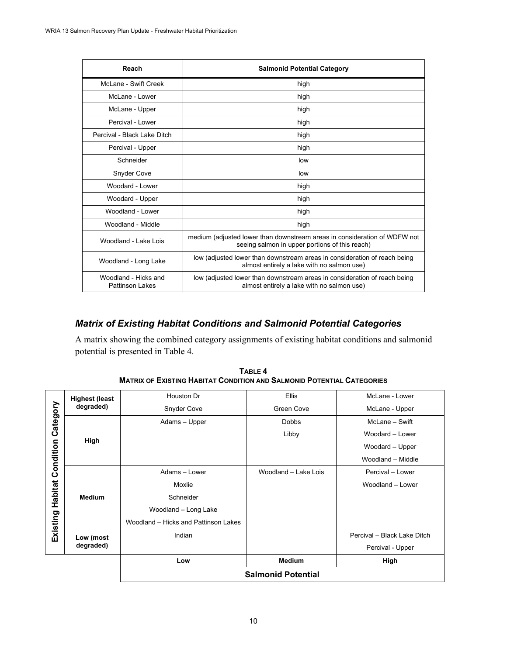| Reach                                   | <b>Salmonid Potential Category</b>                                                                                          |  |
|-----------------------------------------|-----------------------------------------------------------------------------------------------------------------------------|--|
| McLane - Swift Creek                    | high                                                                                                                        |  |
| McLane - Lower                          | high                                                                                                                        |  |
| McLane - Upper                          | high                                                                                                                        |  |
| Percival - Lower                        | high                                                                                                                        |  |
| Percival - Black Lake Ditch             | high                                                                                                                        |  |
| Percival - Upper                        | high                                                                                                                        |  |
| Schneider                               | low                                                                                                                         |  |
| Snyder Cove                             | low                                                                                                                         |  |
| Woodard - Lower                         | high                                                                                                                        |  |
| Woodard - Upper                         | high                                                                                                                        |  |
| Woodland - Lower                        | high                                                                                                                        |  |
| Woodland - Middle                       | high                                                                                                                        |  |
| Woodland - Lake Lois                    | medium (adjusted lower than downstream areas in consideration of WDFW not<br>seeing salmon in upper portions of this reach) |  |
| Woodland - Long Lake                    | low (adjusted lower than downstream areas in consideration of reach being<br>almost entirely a lake with no salmon use)     |  |
| Woodland - Hicks and<br>Pattinson Lakes | low (adjusted lower than downstream areas in consideration of reach being<br>almost entirely a lake with no salmon use)     |  |

## *Matrix of Existing Habitat Conditions and Salmonid Potential Categories*

A matrix showing the combined category assignments of existing habitat conditions and salmonid potential is presented in Table 4.

|           |                        | <b>Salmonid Potential</b>                                    |                      |                             |
|-----------|------------------------|--------------------------------------------------------------|----------------------|-----------------------------|
|           |                        | Low                                                          | <b>Medium</b>        | High                        |
|           | Low (most<br>degraded) |                                                              |                      | Percival - Upper            |
| Existing  |                        | Indian                                                       |                      | Percival - Black Lake Ditch |
|           |                        | Woodland - Long Lake<br>Woodland - Hicks and Pattinson Lakes |                      |                             |
|           |                        | Schneider                                                    |                      |                             |
| Habitat   | <b>Medium</b>          | Moxlie                                                       |                      | Woodland - Lower            |
|           |                        | Adams - Lower                                                | Woodland - Lake Lois | Percival - Lower            |
| Condition |                        |                                                              |                      | Woodland - Middle           |
|           |                        |                                                              |                      | Woodard - Upper             |
|           | High                   |                                                              | Libby                |                             |
| Category  |                        |                                                              |                      | Woodard - Lower             |
|           |                        | Adams - Upper                                                | <b>Dobbs</b>         | McLane - Swift              |
|           | degraded)              | Snyder Cove                                                  | Green Cove           | McLane - Upper              |
|           | <b>Highest (least</b>  | Houston Dr                                                   | <b>Ellis</b>         | McLane - Lower              |

**TABLE 4 MATRIX OF EXISTING HABITAT CONDITION AND SALMONID POTENTIAL CATEGORIES**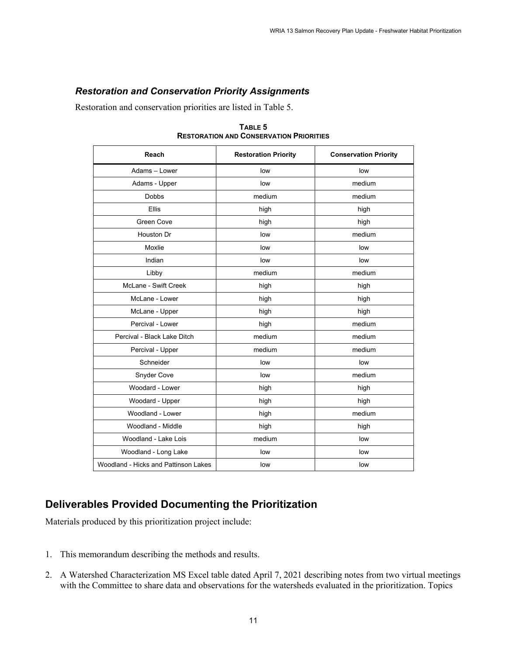## *Restoration and Conservation Priority Assignments*

Restoration and conservation priorities are listed in Table 5.

| Reach                                | <b>Restoration Priority</b> | <b>Conservation Priority</b> |
|--------------------------------------|-----------------------------|------------------------------|
| Adams - Lower                        | low                         | low                          |
| Adams - Upper                        | low                         | medium                       |
| <b>Dobbs</b>                         | medium                      | medium                       |
| <b>Ellis</b>                         | high                        | high                         |
| Green Cove                           | high                        | high                         |
| Houston Dr                           | low                         | medium                       |
| Moxlie                               | low                         | low                          |
| Indian                               | low                         | low                          |
| Libby                                | medium                      | medium                       |
| McLane - Swift Creek                 | high                        | high                         |
| McLane - Lower                       | high                        | high                         |
| McLane - Upper                       | high                        | high                         |
| Percival - Lower                     | high                        | medium                       |
| Percival - Black Lake Ditch          | medium                      | medium                       |
| Percival - Upper                     | medium                      | medium                       |
| Schneider                            | low                         | low                          |
| Snyder Cove                          | low                         | medium                       |
| Woodard - Lower                      | high                        | high                         |
| Woodard - Upper                      | high                        | high                         |
| Woodland - Lower                     | high                        | medium                       |
| Woodland - Middle                    | high                        | high                         |
| Woodland - Lake Lois                 | medium                      | low                          |
| Woodland - Long Lake                 | low                         | low                          |
| Woodland - Hicks and Pattinson Lakes | low                         | low                          |

**TABLE 5 RESTORATION AND CONSERVATION PRIORITIES**

# **Deliverables Provided Documenting the Prioritization**

Materials produced by this prioritization project include:

- 1. This memorandum describing the methods and results.
- 2. A Watershed Characterization MS Excel table dated April 7, 2021 describing notes from two virtual meetings with the Committee to share data and observations for the watersheds evaluated in the prioritization. Topics